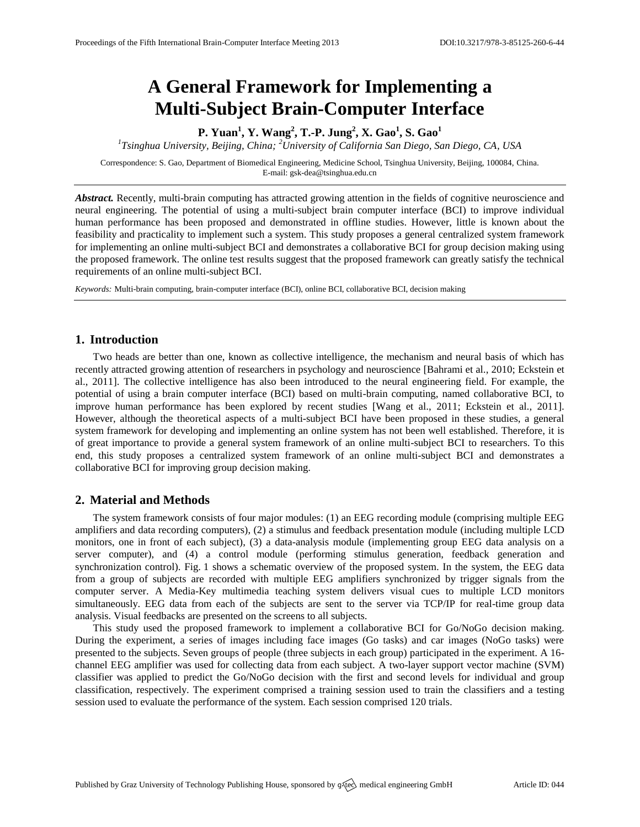# **A General Framework for Implementing a Multi-Subject Brain-Computer Interface**

**P. Yuan<sup>1</sup> , Y. Wang<sup>2</sup> , T.-P. Jung<sup>2</sup> , X. Gao<sup>1</sup> , S. Gao<sup>1</sup>**

*1 Tsinghua University, Beijing, China; <sup>2</sup>University of California San Diego, San Diego, CA, USA*

Correspondence: S. Gao, Department of Biomedical Engineering, Medicine School, Tsinghua University, Beijing, 100084, China. E-mail[: gsk-dea@tsinghua.edu.cn](mailto:gsk-dea@tsinghua.edu.cn)

*Abstract.* Recently, multi-brain computing has attracted growing attention in the fields of cognitive neuroscience and neural engineering. The potential of using a multi-subject brain computer interface (BCI) to improve individual human performance has been proposed and demonstrated in offline studies. However, little is known about the feasibility and practicality to implement such a system. This study proposes a general centralized system framework for implementing an online multi-subject BCI and demonstrates a collaborative BCI for group decision making using the proposed framework. The online test results suggest that the proposed framework can greatly satisfy the technical requirements of an online multi-subject BCI.

*Keywords:* Multi-brain computing, brain-computer interface (BCI), online BCI, collaborative BCI, decision making

## **1. Introduction**

Two heads are better than one, known as collective intelligence, the mechanism and neural basis of which has recently attracted growing attention of researchers in psychology and neuroscience [Bahrami et al., 2010; Eckstein et al., 2011]. The collective intelligence has also been introduced to the neural engineering field. For example, the potential of using a brain computer interface (BCI) based on multi-brain computing, named collaborative BCI, to improve human performance has been explored by recent studies [Wang et al., 2011; Eckstein et al., 2011]. However, although the theoretical aspects of a multi-subject BCI have been proposed in these studies, a general system framework for developing and implementing an online system has not been well established. Therefore, it is of great importance to provide a general system framework of an online multi-subject BCI to researchers. To this end, this study proposes a centralized system framework of an online multi-subject BCI and demonstrates a collaborative BCI for improving group decision making.

#### **2. Material and Methods**

The system framework consists of four major modules: (1) an EEG recording module (comprising multiple EEG amplifiers and data recording computers), (2) a stimulus and feedback presentation module (including multiple LCD monitors, one in front of each subject), (3) a data-analysis module (implementing group EEG data analysis on a server computer), and (4) a control module (performing stimulus generation, feedback generation and synchronization control). Fig. 1 shows a schematic overview of the proposed system. In the system, the EEG data from a group of subjects are recorded with multiple EEG amplifiers synchronized by trigger signals from the computer server. A Media-Key multimedia teaching system delivers visual cues to multiple LCD monitors simultaneously. EEG data from each of the subjects are sent to the server via TCP/IP for real-time group data analysis. Visual feedbacks are presented on the screens to all subjects.

This study used the proposed framework to implement a collaborative BCI for Go/NoGo decision making. During the experiment, a series of images including face images (Go tasks) and car images (NoGo tasks) were presented to the subjects. Seven groups of people (three subjects in each group) participated in the experiment. A 16 channel EEG amplifier was used for collecting data from each subject. A two-layer support vector machine (SVM) classifier was applied to predict the Go/NoGo decision with the first and second levels for individual and group classification, respectively. The experiment comprised a training session used to train the classifiers and a testing session used to evaluate the performance of the system. Each session comprised 120 trials.